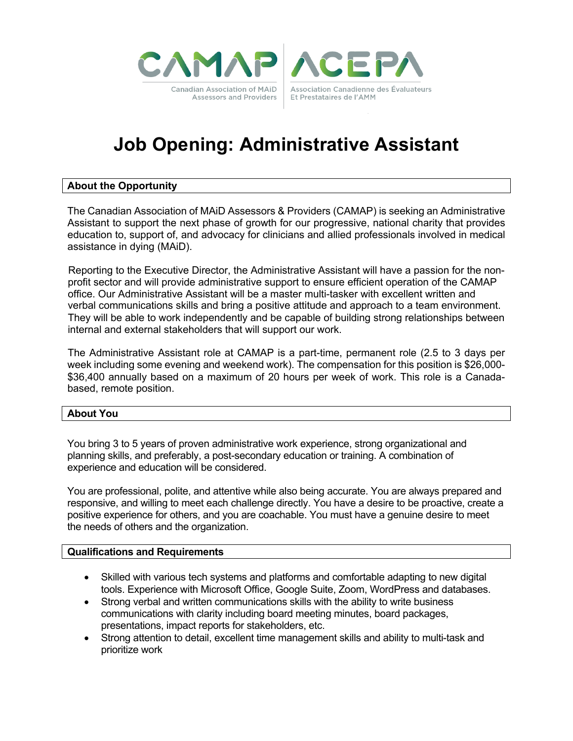



# **Job Opening: Administrative Assistant**

#### **About the Opportunity**

The Canadian Association of MAiD Assessors & Providers (CAMAP) is seeking an Administrative Assistant to support the next phase of growth for our progressive, national charity that provides education to, support of, and advocacy for clinicians and allied professionals involved in medical assistance in dying (MAiD).

Reporting to the Executive Director, the Administrative Assistant will have a passion for the nonprofit sector and will provide administrative support to ensure efficient operation of the CAMAP office. Our Administrative Assistant will be a master multi-tasker with excellent written and verbal communications skills and bring a positive attitude and approach to a team environment. They will be able to work independently and be capable of building strong relationships between internal and external stakeholders that will support our work.

The Administrative Assistant role at CAMAP is a part-time, permanent role (2.5 to 3 days per week including some evening and weekend work). The compensation for this position is \$26,000- \$36,400 annually based on a maximum of 20 hours per week of work. This role is a Canadabased, remote position.

#### **About You**

You bring 3 to 5 years of proven administrative work experience, strong organizational and planning skills, and preferably, a post-secondary education or training. A combination of experience and education will be considered.

You are professional, polite, and attentive while also being accurate. You are always prepared and responsive, and willing to meet each challenge directly. You have a desire to be proactive, create a positive experience for others, and you are coachable. You must have a genuine desire to meet the needs of others and the organization.

#### **Qualifications and Requirements**

- Skilled with various tech systems and platforms and comfortable adapting to new digital tools. Experience with Microsoft Office, Google Suite, Zoom, WordPress and databases.
- Strong verbal and written communications skills with the ability to write business communications with clarity including board meeting minutes, board packages, presentations, impact reports for stakeholders, etc.
- Strong attention to detail, excellent time management skills and ability to multi-task and prioritize work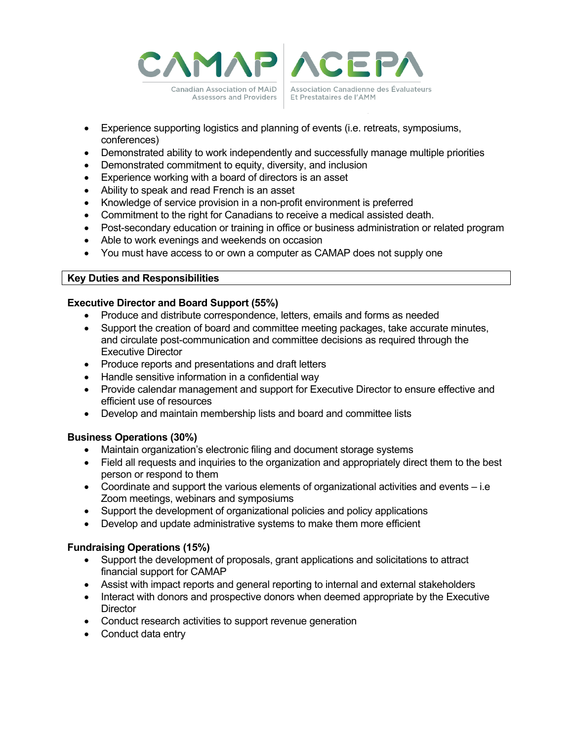



- Experience supporting logistics and planning of events (i.e. retreats, symposiums, conferences)
- Demonstrated ability to work independently and successfully manage multiple priorities
- Demonstrated commitment to equity, diversity, and inclusion
- Experience working with a board of directors is an asset
- Ability to speak and read French is an asset
- Knowledge of service provision in a non-profit environment is preferred
- Commitment to the right for Canadians to receive a medical assisted death.
- Post-secondary education or training in office or business administration or related program
- Able to work evenings and weekends on occasion
- You must have access to or own a computer as CAMAP does not supply one

### **Key Duties and Responsibilities**

## **Executive Director and Board Support (55%)**

- Produce and distribute correspondence, letters, emails and forms as needed
- Support the creation of board and committee meeting packages, take accurate minutes, and circulate post-communication and committee decisions as required through the Executive Director
- Produce reports and presentations and draft letters
- Handle sensitive information in a confidential way
- Provide calendar management and support for Executive Director to ensure effective and efficient use of resources
- Develop and maintain membership lists and board and committee lists

### **Business Operations (30%)**

- Maintain organization's electronic filing and document storage systems
- Field all requests and inquiries to the organization and appropriately direct them to the best person or respond to them
- Coordinate and support the various elements of organizational activities and events i.e Zoom meetings, webinars and symposiums
- Support the development of organizational policies and policy applications
- Develop and update administrative systems to make them more efficient

## **Fundraising Operations (15%)**

- Support the development of proposals, grant applications and solicitations to attract financial support for CAMAP
- Assist with impact reports and general reporting to internal and external stakeholders
- Interact with donors and prospective donors when deemed appropriate by the Executive **Director**
- Conduct research activities to support revenue generation
- Conduct data entry